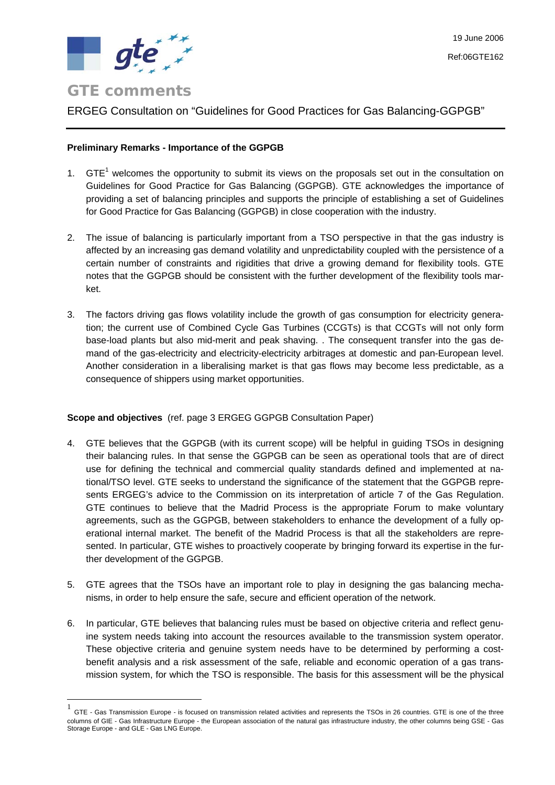

 $\overline{a}$ 

# ERGEG Consultation on "Guidelines for Good Practices for Gas Balancing-GGPGB"

### **Preliminary Remarks - Importance of the GGPGB**

- [1](#page-0-0).  $GTE<sup>1</sup>$  welcomes the opportunity to submit its views on the proposals set out in the consultation on Guidelines for Good Practice for Gas Balancing (GGPGB). GTE acknowledges the importance of providing a set of balancing principles and supports the principle of establishing a set of Guidelines for Good Practice for Gas Balancing (GGPGB) in close cooperation with the industry.
- 2. The issue of balancing is particularly important from a TSO perspective in that the gas industry is affected by an increasing gas demand volatility and unpredictability coupled with the persistence of a certain number of constraints and rigidities that drive a growing demand for flexibility tools. GTE notes that the GGPGB should be consistent with the further development of the flexibility tools market.
- 3. The factors driving gas flows volatility include the growth of gas consumption for electricity generation; the current use of Combined Cycle Gas Turbines (CCGTs) is that CCGTs will not only form base-load plants but also mid-merit and peak shaving. . The consequent transfer into the gas demand of the gas-electricity and electricity-electricity arbitrages at domestic and pan-European level. Another consideration in a liberalising market is that gas flows may become less predictable, as a consequence of shippers using market opportunities.

#### **Scope and objectives** (ref. page 3 ERGEG GGPGB Consultation Paper)

- 4. GTE believes that the GGPGB (with its current scope) will be helpful in guiding TSOs in designing their balancing rules. In that sense the GGPGB can be seen as operational tools that are of direct use for defining the technical and commercial quality standards defined and implemented at national/TSO level. GTE seeks to understand the significance of the statement that the GGPGB represents ERGEG's advice to the Commission on its interpretation of article 7 of the Gas Regulation. GTE continues to believe that the Madrid Process is the appropriate Forum to make voluntary agreements, such as the GGPGB, between stakeholders to enhance the development of a fully operational internal market. The benefit of the Madrid Process is that all the stakeholders are represented. In particular, GTE wishes to proactively cooperate by bringing forward its expertise in the further development of the GGPGB.
- 5. GTE agrees that the TSOs have an important role to play in designing the gas balancing mechanisms, in order to help ensure the safe, secure and efficient operation of the network.
- 6. In particular, GTE believes that balancing rules must be based on objective criteria and reflect genuine system needs taking into account the resources available to the transmission system operator. These objective criteria and genuine system needs have to be determined by performing a costbenefit analysis and a risk assessment of the safe, reliable and economic operation of a gas transmission system, for which the TSO is responsible. The basis for this assessment will be the physical

<span id="page-0-0"></span><sup>1</sup> GTE - Gas Transmission Europe - is focused on transmission related activities and represents the TSOs in 26 countries. GTE is one of the three columns of GIE - Gas Infrastructure Europe - the European association of the natural gas infrastructure industry, the other columns being GSE - Gas Storage Europe - and GLE - Gas LNG Europe.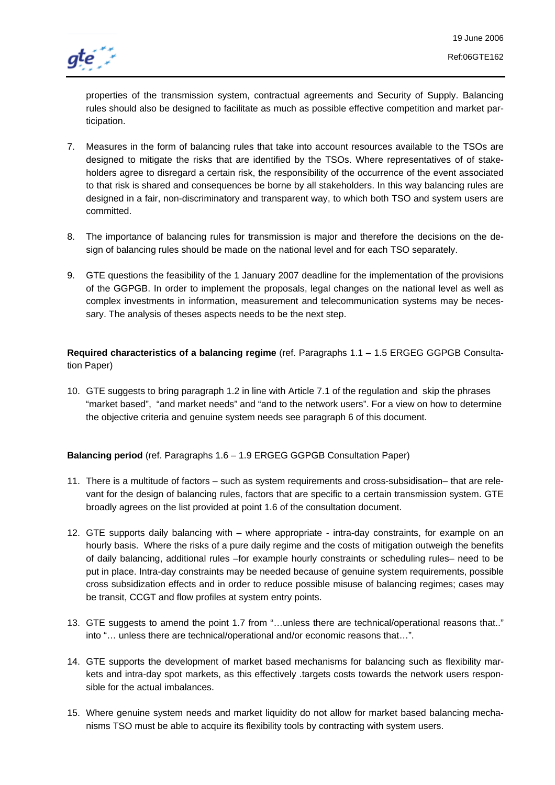

properties of the transmission system, contractual agreements and Security of Supply. Balancing rules should also be designed to facilitate as much as possible effective competition and market participation.

- 7. Measures in the form of balancing rules that take into account resources available to the TSOs are designed to mitigate the risks that are identified by the TSOs. Where representatives of of stakeholders agree to disregard a certain risk, the responsibility of the occurrence of the event associated to that risk is shared and consequences be borne by all stakeholders. In this way balancing rules are designed in a fair, non-discriminatory and transparent way, to which both TSO and system users are committed.
- 8. The importance of balancing rules for transmission is major and therefore the decisions on the design of balancing rules should be made on the national level and for each TSO separately.
- 9. GTE questions the feasibility of the 1 January 2007 deadline for the implementation of the provisions of the GGPGB. In order to implement the proposals, legal changes on the national level as well as complex investments in information, measurement and telecommunication systems may be necessary. The analysis of theses aspects needs to be the next step.

**Required characteristics of a balancing regime** (ref. Paragraphs 1.1 – 1.5 ERGEG GGPGB Consultation Paper)

10. GTE suggests to bring paragraph 1.2 in line with Article 7.1 of the regulation and skip the phrases "market based", "and market needs" and "and to the network users". For a view on how to determine the objective criteria and genuine system needs see paragraph 6 of this document.

**Balancing period** (ref. Paragraphs 1.6 – 1.9 ERGEG GGPGB Consultation Paper)

- 11. There is a multitude of factors such as system requirements and cross-subsidisation– that are relevant for the design of balancing rules, factors that are specific to a certain transmission system. GTE broadly agrees on the list provided at point 1.6 of the consultation document.
- 12. GTE supports daily balancing with where appropriate intra-day constraints, for example on an hourly basis. Where the risks of a pure daily regime and the costs of mitigation outweigh the benefits of daily balancing, additional rules –for example hourly constraints or scheduling rules– need to be put in place. Intra-day constraints may be needed because of genuine system requirements, possible cross subsidization effects and in order to reduce possible misuse of balancing regimes; cases may be transit, CCGT and flow profiles at system entry points.
- 13. GTE suggests to amend the point 1.7 from "…unless there are technical/operational reasons that.." into "… unless there are technical/operational and/or economic reasons that…".
- 14. GTE supports the development of market based mechanisms for balancing such as flexibility markets and intra-day spot markets, as this effectively .targets costs towards the network users responsible for the actual imbalances.
- 15. Where genuine system needs and market liquidity do not allow for market based balancing mechanisms TSO must be able to acquire its flexibility tools by contracting with system users.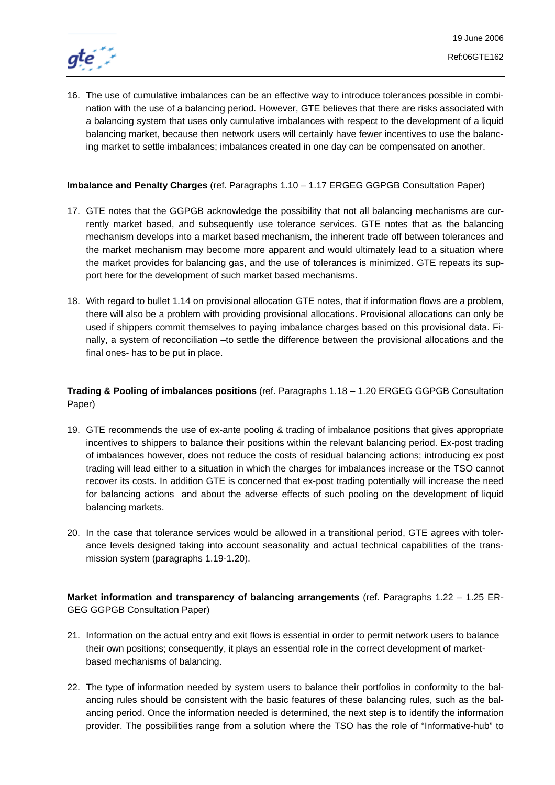

16. The use of cumulative imbalances can be an effective way to introduce tolerances possible in combination with the use of a balancing period. However, GTE believes that there are risks associated with a balancing system that uses only cumulative imbalances with respect to the development of a liquid balancing market, because then network users will certainly have fewer incentives to use the balancing market to settle imbalances; imbalances created in one day can be compensated on another.

## **Imbalance and Penalty Charges** (ref. Paragraphs 1.10 – 1.17 ERGEG GGPGB Consultation Paper)

- 17. GTE notes that the GGPGB acknowledge the possibility that not all balancing mechanisms are currently market based, and subsequently use tolerance services. GTE notes that as the balancing mechanism develops into a market based mechanism, the inherent trade off between tolerances and the market mechanism may become more apparent and would ultimately lead to a situation where the market provides for balancing gas, and the use of tolerances is minimized. GTE repeats its support here for the development of such market based mechanisms.
- 18. With regard to bullet 1.14 on provisional allocation GTE notes, that if information flows are a problem, there will also be a problem with providing provisional allocations. Provisional allocations can only be used if shippers commit themselves to paying imbalance charges based on this provisional data. Finally, a system of reconciliation –to settle the difference between the provisional allocations and the final ones- has to be put in place.

## **Trading & Pooling of imbalances positions** (ref. Paragraphs 1.18 – 1.20 ERGEG GGPGB Consultation Paper)

- 19. GTE recommends the use of ex-ante pooling & trading of imbalance positions that gives appropriate incentives to shippers to balance their positions within the relevant balancing period. Ex-post trading of imbalances however, does not reduce the costs of residual balancing actions; introducing ex post trading will lead either to a situation in which the charges for imbalances increase or the TSO cannot recover its costs. In addition GTE is concerned that ex-post trading potentially will increase the need for balancing actions and about the adverse effects of such pooling on the development of liquid balancing markets.
- 20. In the case that tolerance services would be allowed in a transitional period, GTE agrees with tolerance levels designed taking into account seasonality and actual technical capabilities of the transmission system (paragraphs 1.19-1.20).

**Market information and transparency of balancing arrangements** (ref. Paragraphs 1.22 – 1.25 ER-GEG GGPGB Consultation Paper)

- 21. Information on the actual entry and exit flows is essential in order to permit network users to balance their own positions; consequently, it plays an essential role in the correct development of marketbased mechanisms of balancing.
- 22. The type of information needed by system users to balance their portfolios in conformity to the balancing rules should be consistent with the basic features of these balancing rules, such as the balancing period. Once the information needed is determined, the next step is to identify the information provider. The possibilities range from a solution where the TSO has the role of "Informative-hub" to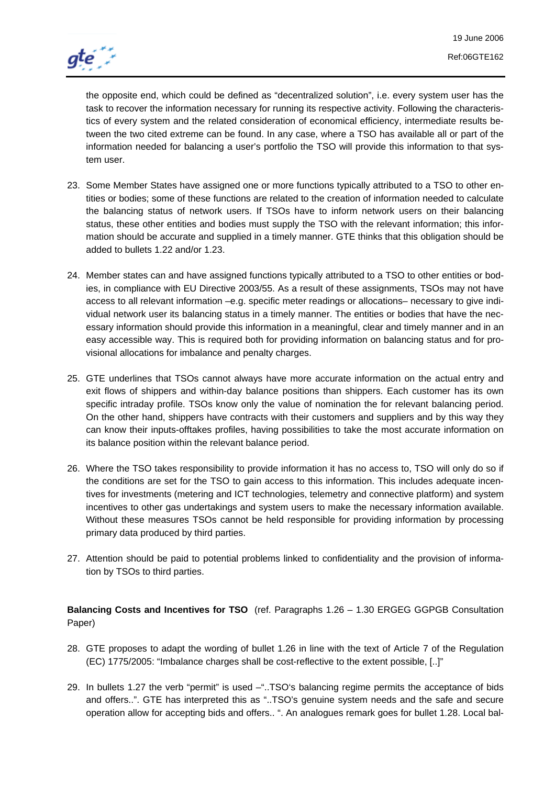

the opposite end, which could be defined as "decentralized solution", i.e. every system user has the task to recover the information necessary for running its respective activity. Following the characteristics of every system and the related consideration of economical efficiency, intermediate results between the two cited extreme can be found. In any case, where a TSO has available all or part of the information needed for balancing a user's portfolio the TSO will provide this information to that system user.

- 23. Some Member States have assigned one or more functions typically attributed to a TSO to other entities or bodies; some of these functions are related to the creation of information needed to calculate the balancing status of network users. If TSOs have to inform network users on their balancing status, these other entities and bodies must supply the TSO with the relevant information; this information should be accurate and supplied in a timely manner. GTE thinks that this obligation should be added to bullets 1.22 and/or 1.23.
- 24. Member states can and have assigned functions typically attributed to a TSO to other entities or bodies, in compliance with EU Directive 2003/55. As a result of these assignments, TSOs may not have access to all relevant information –e.g. specific meter readings or allocations– necessary to give individual network user its balancing status in a timely manner. The entities or bodies that have the necessary information should provide this information in a meaningful, clear and timely manner and in an easy accessible way. This is required both for providing information on balancing status and for provisional allocations for imbalance and penalty charges.
- 25. GTE underlines that TSOs cannot always have more accurate information on the actual entry and exit flows of shippers and within-day balance positions than shippers. Each customer has its own specific intraday profile. TSOs know only the value of nomination the for relevant balancing period. On the other hand, shippers have contracts with their customers and suppliers and by this way they can know their inputs-offtakes profiles, having possibilities to take the most accurate information on its balance position within the relevant balance period.
- 26. Where the TSO takes responsibility to provide information it has no access to, TSO will only do so if the conditions are set for the TSO to gain access to this information. This includes adequate incentives for investments (metering and ICT technologies, telemetry and connective platform) and system incentives to other gas undertakings and system users to make the necessary information available. Without these measures TSOs cannot be held responsible for providing information by processing primary data produced by third parties.
- 27. Attention should be paid to potential problems linked to confidentiality and the provision of information by TSOs to third parties.

**Balancing Costs and Incentives for TSO** (ref. Paragraphs 1.26 – 1.30 ERGEG GGPGB Consultation Paper)

- 28. GTE proposes to adapt the wording of bullet 1.26 in line with the text of Article 7 of the Regulation (EC) 1775/2005: "Imbalance charges shall be cost-reflective to the extent possible, [..]"
- 29. In bullets 1.27 the verb "permit" is used –"..TSO's balancing regime permits the acceptance of bids and offers..". GTE has interpreted this as "..TSO's genuine system needs and the safe and secure operation allow for accepting bids and offers.. ". An analogues remark goes for bullet 1.28. Local bal-